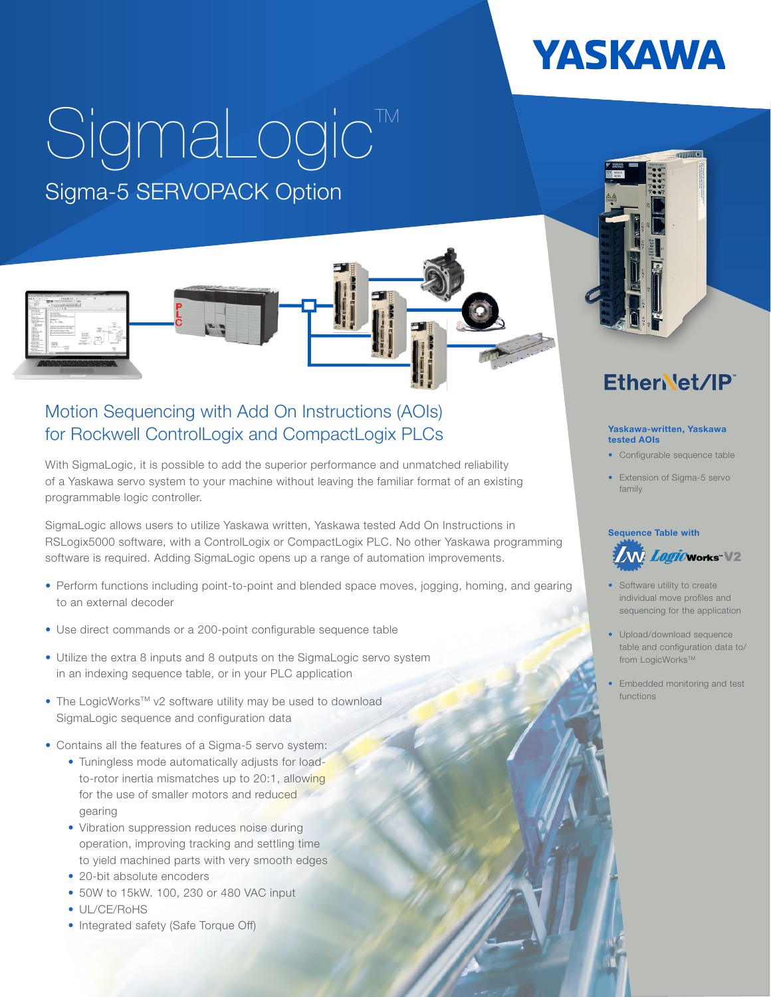## **YASKAWA**

# SigmaLogic<sup>™</sup> Sigma-5 SERVOPACK Option



#### Motion Sequencing with Add On Instructions (AOIs) for Rockwell ControlLogix and CompactLogix PLCs Yaskawa-written, Yaskawa

With SigmaLogic, it is possible to add the superior performance and unmatched reliability of a Yaskawa servo system to your machine without leaving the familiar format of an existing programmable logic controller.

SigmaLogic allows users to utilize Yaskawa written, Yaskawa tested Add On Instructions in RSLogix5000 software, with a ControlLogix or CompactLogix PLC. No other Yaskawa programming software is required. Adding SigmaLogic opens up a range of automation improvements.

- Perform functions including point-to-point and blended space moves, jogging, homing, and gearing to an external decoder
- Use direct commands or a 200-point configurable sequence table
- Utilize the extra 8 inputs and 8 outputs on the SigmaLogic servo system in an indexing sequence table, or in your PLC application
- The LogicWorks<sup>™</sup> v2 software utility may be used to download SigmaLogic sequence and configuration data
- Contains all the features of a Sigma-5 servo system:
	- Tuningless mode automatically adjusts for loadto-rotor inertia mismatches up to 20:1, allowing for the use of smaller motors and reduced gearing
	- Vibration suppression reduces noise during operation, improving tracking and settling time to yield machined parts with very smooth edges
	- 20-bit absolute encoders
	- 50W to 15kW. 100, 230 or 480 VAC input
	- UL/CE/RoHS
	- Integrated safety (Safe Torque Off)

## EtherNet/IP

### tested AOIs

- Configurable sequence table
- Extension of Sigma-5 servo family

#### Sequence Table with



- Software utility to create individual move profiles and sequencing for the application
- Upload/download sequence table and configuration data to/ from LogicWorks™
- Embedded monitoring and test functions